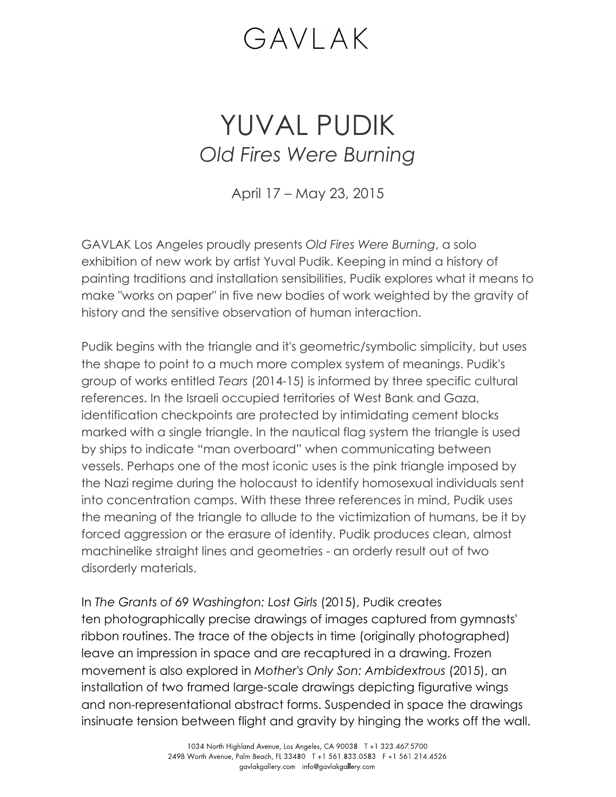## GAVLAK

## YUVAL PUDIK *Old Fires Were Burning*

April 17 – May 23, 2015

GAVLAK Los Angeles proudly presents *Old Fires Were Burning*, a solo exhibition of new work by artist Yuval Pudik. Keeping in mind a history of painting traditions and installation sensibilities, Pudik explores what it means to make "works on paper" in five new bodies of work weighted by the gravity of history and the sensitive observation of human interaction.

Pudik begins with the triangle and it's geometric/symbolic simplicity, but uses the shape to point to a much more complex system of meanings. Pudik's group of works entitled *Tears* (2014-15) is informed by three specific cultural references. In the Israeli occupied territories of West Bank and Gaza, identification checkpoints are protected by intimidating cement blocks marked with a single triangle. In the nautical flag system the triangle is used by ships to indicate "man overboard" when communicating between vessels. Perhaps one of the most iconic uses is the pink triangle imposed by the Nazi regime during the holocaust to identify homosexual individuals sent into concentration camps. With these three references in mind, Pudik uses the meaning of the triangle to allude to the victimization of humans, be it by forced aggression or the erasure of identity. Pudik produces clean, almost machinelike straight lines and geometries - an orderly result out of two disorderly materials.

In *The Grants of 69 Washington: Lost Girls* (2015), Pudik creates ten photographically precise drawings of images captured from gymnasts' ribbon routines. The trace of the objects in time (originally photographed) leave an impression in space and are recaptured in a drawing. Frozen movement is also explored in *Mother's Only Son: Ambidextrous* (2015), an installation of two framed large-scale drawings depicting figurative wings and non-representational abstract forms. Suspended in space the drawings insinuate tension between flight and gravity by hinging the works off the wall.